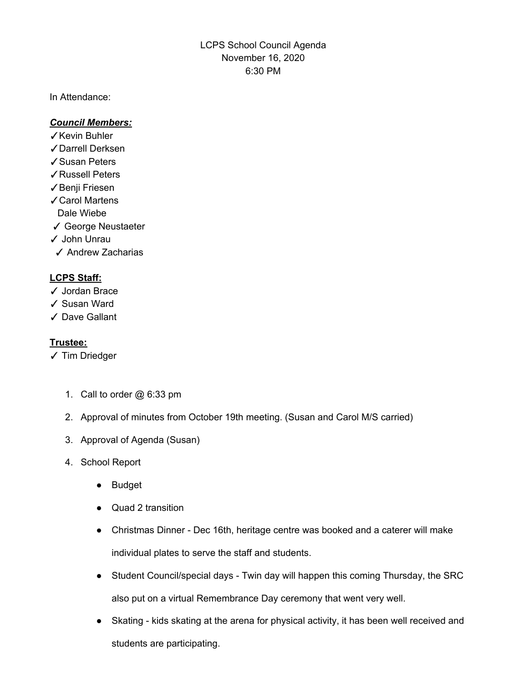LCPS School Council Agenda November 16, 2020 6:30 PM

In Attendance:

## *Council Members:*

- ✓Kevin Buhler
- ✓Darrell Derksen
- ✓Susan Peters
- ✓Russell Peters
- ✓Benji Friesen
- ✓Carol Martens
- Dale Wiebe
- ✓ George Neustaeter
- ✓ John Unrau
- ✓ Andrew Zacharias

## **LCPS Staff:**

- ✓ Jordan Brace
- ✓ Susan Ward
- ✓ Dave Gallant

## **Trustee:**

- ✓ Tim Driedger
	- 1. Call to order @ 6:33 pm
	- 2. Approval of minutes from October 19th meeting. (Susan and Carol M/S carried)
	- 3. Approval of Agenda (Susan)
	- 4. School Report
		- Budget
		- Quad 2 transition
		- Christmas Dinner Dec 16th, heritage centre was booked and a caterer will make individual plates to serve the staff and students.
		- Student Council/special days Twin day will happen this coming Thursday, the SRC also put on a virtual Remembrance Day ceremony that went very well.
		- Skating kids skating at the arena for physical activity, it has been well received and students are participating.